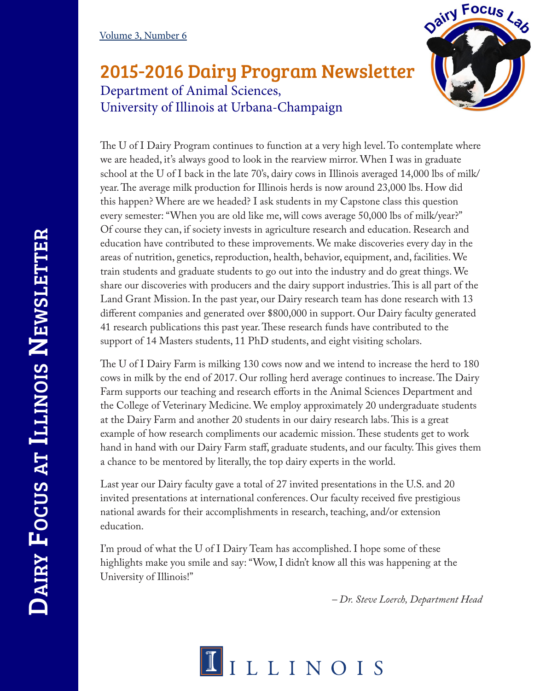## 2015-2016 Dairy Program Newsletter Department of Animal Sciences, University of Illinois at Urbana-Champaign



The U of I Dairy Program continues to function at a very high level. To contemplate where we are headed, it's always good to look in the rearview mirror. When I was in graduate school at the U of I back in the late 70's, dairy cows in Illinois averaged 14,000 lbs of milk/ year. The average milk production for Illinois herds is now around 23,000 lbs. How did this happen? Where are we headed? I ask students in my Capstone class this question every semester: "When you are old like me, will cows average 50,000 lbs of milk/year?" Of course they can, if society invests in agriculture research and education. Research and education have contributed to these improvements. We make discoveries every day in the areas of nutrition, genetics, reproduction, health, behavior, equipment, and, facilities. We train students and graduate students to go out into the industry and do great things. We share our discoveries with producers and the dairy support industries. This is all part of the Land Grant Mission. In the past year, our Dairy research team has done research with 13 different companies and generated over \$800,000 in support. Our Dairy faculty generated 41 research publications this past year. These research funds have contributed to the support of 14 Masters students, 11 PhD students, and eight visiting scholars.

The U of I Dairy Farm is milking 130 cows now and we intend to increase the herd to 180 cows in milk by the end of 2017. Our rolling herd average continues to increase. The Dairy Farm supports our teaching and research efforts in the Animal Sciences Department and the College of Veterinary Medicine. We employ approximately 20 undergraduate students at the Dairy Farm and another 20 students in our dairy research labs. This is a great example of how research compliments our academic mission. These students get to work hand in hand with our Dairy Farm staff, graduate students, and our faculty. This gives them a chance to be mentored by literally, the top dairy experts in the world.

Last year our Dairy faculty gave a total of 27 invited presentations in the U.S. and 20 invited presentations at international conferences. Our faculty received five prestigious national awards for their accomplishments in research, teaching, and/or extension education.

I'm proud of what the U of I Dairy Team has accomplished. I hope some of these highlights make you smile and say: "Wow, I didn't know all this was happening at the University of Illinois!"

*– Dr. Steve Loerch, Department Head*

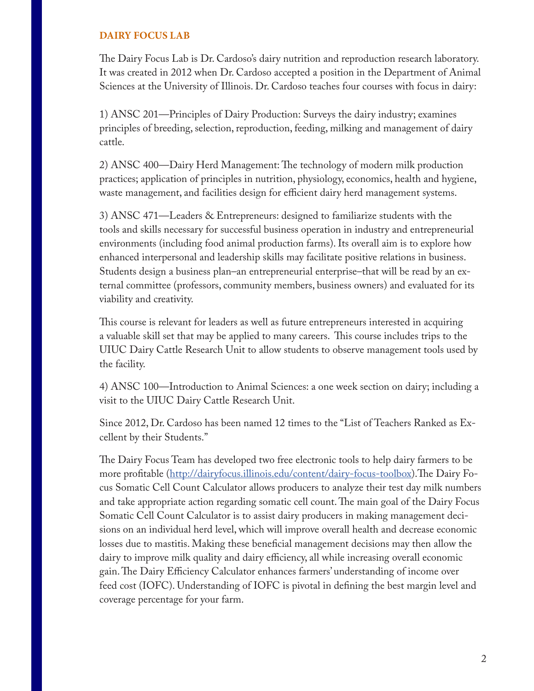## **DAIRY FOCUS LAB**

The Dairy Focus Lab is Dr. Cardoso's dairy nutrition and reproduction research laboratory. It was created in 2012 when Dr. Cardoso accepted a position in the Department of Animal Sciences at the University of Illinois. Dr. Cardoso teaches four courses with focus in dairy:

1) ANSC 201—Principles of Dairy Production: Surveys the dairy industry; examines principles of breeding, selection, reproduction, feeding, milking and management of dairy cattle.

2) ANSC 400—Dairy Herd Management: The technology of modern milk production practices; application of principles in nutrition, physiology, economics, health and hygiene, waste management, and facilities design for efficient dairy herd management systems.

3) ANSC 471—Leaders & Entrepreneurs: designed to familiarize students with the tools and skills necessary for successful business operation in industry and entrepreneurial environments (including food animal production farms). Its overall aim is to explore how enhanced interpersonal and leadership skills may facilitate positive relations in business. Students design a business plan–an entrepreneurial enterprise–that will be read by an external committee (professors, community members, business owners) and evaluated for its viability and creativity.

This course is relevant for leaders as well as future entrepreneurs interested in acquiring a valuable skill set that may be applied to many careers. This course includes trips to the UIUC Dairy Cattle Research Unit to allow students to observe management tools used by the facility.

4) ANSC 100—Introduction to Animal Sciences: a one week section on dairy; including a visit to the UIUC Dairy Cattle Research Unit.

Since 2012, Dr. Cardoso has been named 12 times to the "List of Teachers Ranked as Excellent by their Students."

The Dairy Focus Team has developed two free electronic tools to help dairy farmers to be more profitable (http://dairyfocus.illinois.edu/content/dairy-focus-toolbox).The Dairy Focus Somatic Cell Count Calculator allows producers to analyze their test day milk numbers and take appropriate action regarding somatic cell count. The main goal of the Dairy Focus Somatic Cell Count Calculator is to assist dairy producers in making management decisions on an individual herd level, which will improve overall health and decrease economic losses due to mastitis. Making these beneficial management decisions may then allow the dairy to improve milk quality and dairy efficiency, all while increasing overall economic gain. The Dairy Efficiency Calculator enhances farmers' understanding of income over feed cost (IOFC). Understanding of IOFC is pivotal in defining the best margin level and coverage percentage for your farm.